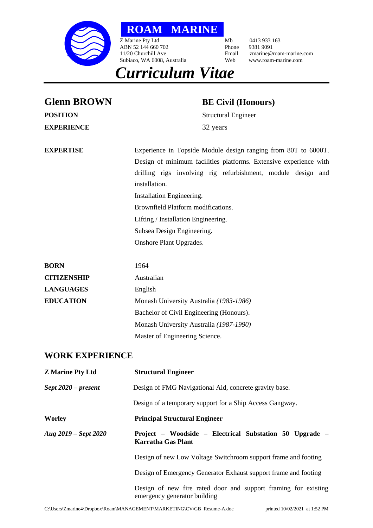

**ROAM MARINE**

Z Marine Pty Ltd Mb 0413 933 163<br>ABN 52 144 660 702 Phone 9381 9091 ABN 52 144 660 702<br>11/20 Churchill Ave Email Subiaco, WA 6008, Australia

Email zmarine@roam-marine.com<br>Web www.roam-marine.com

# *Curriculum Vitae*

| <b>Glenn BROWN</b>      | <b>BE Civil (Honours)</b>                                                                                                                                                                                                                                                                                                                                                               |
|-------------------------|-----------------------------------------------------------------------------------------------------------------------------------------------------------------------------------------------------------------------------------------------------------------------------------------------------------------------------------------------------------------------------------------|
| <b>POSITION</b>         | <b>Structural Engineer</b>                                                                                                                                                                                                                                                                                                                                                              |
| <b>EXPERIENCE</b>       | 32 years                                                                                                                                                                                                                                                                                                                                                                                |
| <b>EXPERTISE</b>        | Experience in Topside Module design ranging from 80T to 6000T.<br>Design of minimum facilities platforms. Extensive experience with<br>drilling rigs involving rig refurbishment, module design and<br>installation.<br>Installation Engineering.<br>Brownfield Platform modifications.<br>Lifting / Installation Engineering.<br>Subsea Design Engineering.<br>Onshore Plant Upgrades. |
| <b>BORN</b>             | 1964                                                                                                                                                                                                                                                                                                                                                                                    |
| <b>CITIZENSHIP</b>      | Australian                                                                                                                                                                                                                                                                                                                                                                              |
| <b>LANGUAGES</b>        | English                                                                                                                                                                                                                                                                                                                                                                                 |
| <b>EDUCATION</b>        | Monash University Australia (1983-1986)                                                                                                                                                                                                                                                                                                                                                 |
|                         | Bachelor of Civil Engineering (Honours).                                                                                                                                                                                                                                                                                                                                                |
|                         | Monash University Australia (1987-1990)                                                                                                                                                                                                                                                                                                                                                 |
|                         | Master of Engineering Science.                                                                                                                                                                                                                                                                                                                                                          |
| <b>WORK EXPERIENCE</b>  |                                                                                                                                                                                                                                                                                                                                                                                         |
| <b>Z Marine Pty Ltd</b> | <b>Structural Engineer</b>                                                                                                                                                                                                                                                                                                                                                              |
| $Sept~2020 - present$   | Design of FMG Navigational Aid, concrete gravity base.                                                                                                                                                                                                                                                                                                                                  |
|                         | Design of a temporary support for a Ship Access Gangway.                                                                                                                                                                                                                                                                                                                                |
| <b>Worley</b>           | <b>Principal Structural Engineer</b>                                                                                                                                                                                                                                                                                                                                                    |
| Aug 2019 – Sept 2020    | Project - Woodside - Electrical Substation 50 Upgrade -<br><b>Karratha Gas Plant</b>                                                                                                                                                                                                                                                                                                    |
|                         | Design of new Low Voltage Switchroom support frame and footing                                                                                                                                                                                                                                                                                                                          |
|                         | Design of Emergency Generator Exhaust support frame and footing                                                                                                                                                                                                                                                                                                                         |

Design of new fire rated door and support framing for existing emergency generator building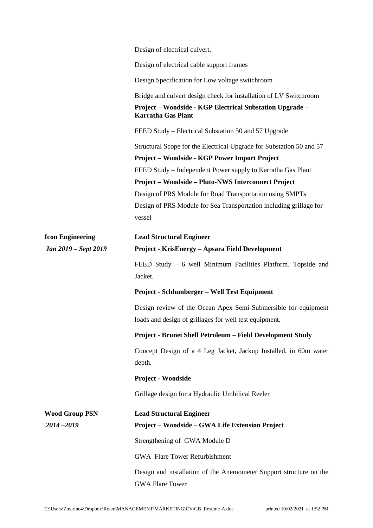|                                        | Design of electrical culvert.                                                                                |
|----------------------------------------|--------------------------------------------------------------------------------------------------------------|
|                                        | Design of electrical cable support frames                                                                    |
|                                        | Design Specification for Low voltage switchroom                                                              |
|                                        | Bridge and culvert design check for installation of LV Switchroom                                            |
|                                        | Project – Woodside - KGP Electrical Substation Upgrade –<br><b>Karratha Gas Plant</b>                        |
|                                        | FEED Study – Electrical Substation 50 and 57 Upgrade                                                         |
|                                        | Structural Scope for the Electrical Upgrade for Substation 50 and 57                                         |
|                                        | Project – Woodside - KGP Power Import Project<br>FEED Study – Independent Power supply to Karratha Gas Plant |
|                                        | <b>Project – Woodside – Pluto-NWS Interconnect Project</b>                                                   |
|                                        | Design of PRS Module for Road Transportation using SMPTs                                                     |
|                                        | Design of PRS Module for Sea Transportation including grillage for<br>vessel                                 |
| <b>Icon Engineering</b>                | <b>Lead Structural Engineer</b>                                                                              |
| Jan 2019 – Sept 2019                   | Project - KrisEnergy - Apsara Field Development                                                              |
|                                        | FEED Study - 6 well Minimum Facilities Platform. Topside and<br>Jacket.                                      |
|                                        | Project - Schlumberger – Well Test Equipment                                                                 |
|                                        | Design review of the Ocean Apex Semi-Submersible for equipment                                               |
|                                        | loads and design of grillages for well test equipment.                                                       |
|                                        | Project - Brunei Shell Petroleum - Field Development Study                                                   |
|                                        | Concept Design of a 4 Leg Jacket, Jackup Installed, in 60m water<br>depth.                                   |
|                                        | <b>Project - Woodside</b>                                                                                    |
|                                        | Grillage design for a Hydraulic Umbilical Reeler                                                             |
|                                        |                                                                                                              |
| <b>Wood Group PSN</b><br>$2014 - 2019$ | <b>Lead Structural Engineer</b><br>Project – Woodside – GWA Life Extension Project                           |
|                                        | Strengthening of GWA Module D                                                                                |
|                                        | <b>GWA Flare Tower Refurbishment</b>                                                                         |
|                                        |                                                                                                              |
|                                        | Design and installation of the Anemometer Support structure on the<br><b>GWA Flare Tower</b>                 |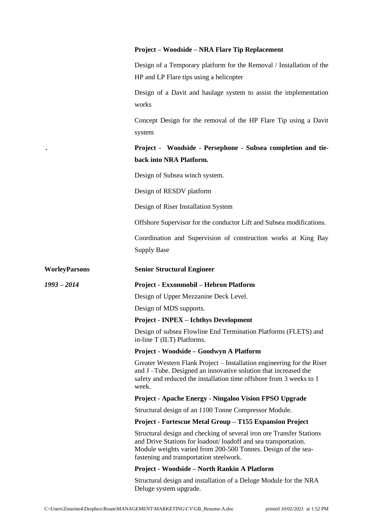# **Project – Woodside – NRA Flare Tip Replacement**

Design of a Temporary platform for the Removal / Installation of the HP and LP Flare tips using a helicopter

Design of a Davit and haulage system to assist the implementation works

Concept Design for the removal of the HP Flare Tip using a Davit system

*.* **Project - Woodside - Persephone - Subsea completion and tieback into NRA Platform***.*

Design of Subsea winch system.

Design of RESDV platform

Design of Riser Installation System

Offshore Supervisor for the conductor Lift and Subsea modifications.

Coordination and Supervision of construction works at King Bay Supply Base

## **WorleyParsons Senior Structural Engineer**

# *1993 – 2014* **Project - Exxonmobil – Hebron Platform**

Design of Upper Mezzanine Deck Level.

Design of MDS supports.

# **Project - INPEX – Ichthys Development**

Design of subsea Flowline End Termination Platforms (FLETS) and in-line T (ILT) Platforms.

## **Project - Woodside – Goodwyn A Platform**

Greater Western Flank Project – Installation engineering for the Riser and J –Tube. Designed an innovative solution that increased the safety and reduced the installation time offshore from 3 weeks to 1 week.

# **Project - Apache Energy - Ningaloo Vision FPSO Upgrade**

Structural design of an 1100 Tonne Compressor Module.

# **Project - Fortescue Metal Group – T155 Expansion Project**

Structural design and checking of several iron ore Transfer Stations and Drive Stations for loadout/ loadoff and sea transportation. Module weights varied from 200-500 Tonnes. Design of the seafastening and transportation steelwork.

## **Project - Woodside – North Rankin A Platform**

Structural design and installation of a Deluge Module for the NRA Deluge system upgrade.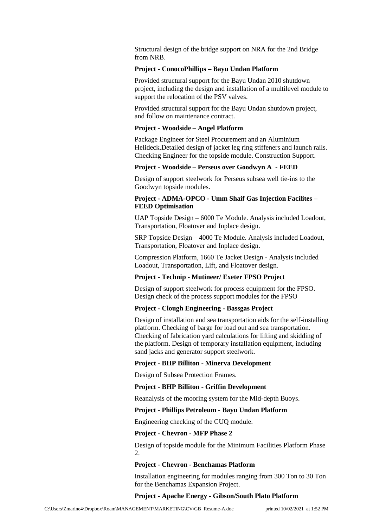Structural design of the bridge support on NRA for the 2nd Bridge from NRB.

## **Project - ConocoPhillips – Bayu Undan Platform**

Provided structural support for the Bayu Undan 2010 shutdown project, including the design and installation of a multilevel module to support the relocation of the PSV valves.

Provided structural support for the Bayu Undan shutdown project, and follow on maintenance contract.

#### **Project - Woodside – Angel Platform**

Package Engineer for Steel Procurement and an Aluminium Helideck.Detailed design of jacket leg ring stiffeners and launch rails. Checking Engineer for the topside module. Construction Support.

#### **Project - Woodside – Perseus over Goodwyn A - FEED**

Design of support steelwork for Perseus subsea well tie-ins to the Goodwyn topside modules.

## **Project - ADMA-OPCO - Umm Shaif Gas Injection Facilites – FEED Optimisation**

UAP Topside Design – 6000 Te Module. Analysis included Loadout, Transportation, Floatover and Inplace design.

SRP Topside Design – 4000 Te Module. Analysis included Loadout, Transportation, Floatover and Inplace design.

Compression Platform, 1660 Te Jacket Design - Analysis included Loadout, Transportation, Lift, and Floatover design.

#### **Project - Technip - Mutineer/ Exeter FPSO Project**

Design of support steelwork for process equipment for the FPSO. Design check of the process support modules for the FPSO

## **Project - Clough Engineering - Bassgas Project**

Design of installation and sea transportation aids for the self-installing platform. Checking of barge for load out and sea transportation. Checking of fabrication yard calculations for lifting and skidding of the platform. Design of temporary installation equipment, including sand jacks and generator support steelwork.

## **Project - BHP Billiton - Minerva Development**

Design of Subsea Protection Frames.

#### **Project - BHP Billiton - Griffin Development**

Reanalysis of the mooring system for the Mid-depth Buoys.

## **Project - Phillips Petroleum - Bayu Undan Platform**

Engineering checking of the CUQ module.

#### **Project - Chevron - MFP Phase 2**

Design of topside module for the Minimum Facilities Platform Phase 2.

#### **Project - Chevron - Benchamas Platform**

Installation engineering for modules ranging from 300 Ton to 30 Ton for the Benchamas Expansion Project.

#### **Project - Apache Energy - Gibson/South Plato Platform**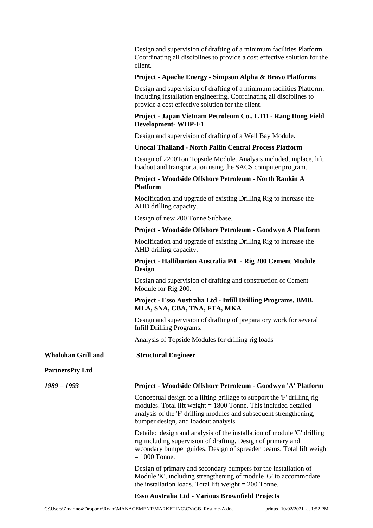Design and supervision of drafting of a minimum facilities Platform. Coordinating all disciplines to provide a cost effective solution for the client.

## **Project - Apache Energy - Simpson Alpha & Bravo Platforms**

Design and supervision of drafting of a minimum facilities Platform, including installation engineering. Coordinating all disciplines to provide a cost effective solution for the client.

# **Project - Japan Vietnam Petroleum Co., LTD - Rang Dong Field Development- WHP-E1**

Design and supervision of drafting of a Well Bay Module.

## **Unocal Thailand - North Pailin Central Process Platform**

Design of 2200Ton Topside Module. Analysis included, inplace, lift, loadout and transportation using the SACS computer program.

# **Project - Woodside Offshore Petroleum - North Rankin A Platform**

Modification and upgrade of existing Drilling Rig to increase the AHD drilling capacity.

Design of new 200 Tonne Subbase.

## **Project - Woodside Offshore Petroleum - Goodwyn A Platform**

Modification and upgrade of existing Drilling Rig to increase the AHD drilling capacity.

# **Project - Halliburton Australia P/L - Rig 200 Cement Module Design**

Design and supervision of drafting and construction of Cement Module for Rig 200.

# **Project - Esso Australia Ltd - Infill Drilling Programs, BMB, MLA, SNA, CBA, TNA, FTA, MKA**

Design and supervision of drafting of preparatory work for several Infill Drilling Programs.

Analysis of Topside Modules for drilling rig loads

# **Wholohan Grill and Structural Engineer**

# **PartnersPty Ltd**

# *1989 – 1993* **Project - Woodside Offshore Petroleum - Goodwyn 'A' Platform**

Conceptual design of a lifting grillage to support the 'F' drilling rig modules. Total lift weight = 1800 Tonne. This included detailed analysis of the 'F' drilling modules and subsequent strengthening, bumper design, and loadout analysis.

Detailed design and analysis of the installation of module 'G' drilling rig including supervision of drafting. Design of primary and secondary bumper guides. Design of spreader beams. Total lift weight = 1000 Tonne.

Design of primary and secondary bumpers for the installation of Module 'K', including strengthening of module 'G' to accommodate the installation loads. Total lift weight  $= 200$  Tonne.

# **Esso Australia Ltd - Various Brownfield Projects**